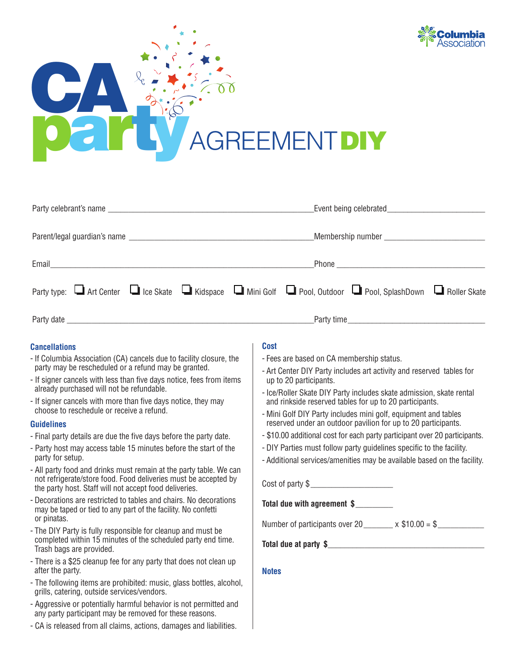



| Party type: I Art Center I Ice Skate I Kidspace I Mini Golf I Pool, Outdoor I Pool, SplashDown I Roller Skate |  |
|---------------------------------------------------------------------------------------------------------------|--|
|                                                                                                               |  |

# **Cancellations**

- If Columbia Association (CA) cancels due to facility closure, the party may be rescheduled or a refund may be granted.
- If signer cancels with less than five days notice, fees from items already purchased will not be refundable.
- If signer cancels with more than five days notice, they may choose to reschedule or receive a refund.

#### **Guidelines**

- Final party details are due the five days before the party date.
- Party host may access table 15 minutes before the start of the party for setup.
- All party food and drinks must remain at the party table. We can not refrigerate/store food. Food deliveries must be accepted by the party host. Staff will not accept food deliveries.
- Decorations are restricted to tables and chairs. No decorations may be taped or tied to any part of the facility. No confetti or pinatas.
- The DIY Party is fully responsible for cleanup and must be completed within 15 minutes of the scheduled party end time. Trash bags are provided.
- There is a \$25 cleanup fee for any party that does not clean up after the party.
- The following items are prohibited: music, glass bottles, alcohol, grills, catering, outside services/vendors.
- Aggressive or potentially harmful behavior is not permitted and any party participant may be removed for these reasons.
- CA is released from all claims, actions, damages and liabilities.

# **Cost**

- Fees are based on CA membership status.
- Art Center DIY Party includes art activity and reserved tables for up to 20 participants.
- Ice/Roller Skate DIY Party includes skate admission, skate rental and rinkside reserved tables for up to 20 participants.
- Mini Golf DIY Party includes mini golf, equipment and tables reserved under an outdoor pavilion for up to 20 participants.
- \$10.00 additional cost for each party participant over 20 participants.
- DIY Parties must follow party guidelines specific to the facility.
- Additional services/amenities may be available based on the facility.

Cost of party \$

**Total due with agreement \$**\_\_\_\_\_\_\_\_\_

Number of participants over 20  $\times$  \$10.00 = \$

**Total due at party \$**\_\_\_\_\_\_\_\_\_\_\_\_\_\_\_\_\_\_\_\_\_\_\_\_\_\_\_\_\_\_\_\_\_\_\_\_\_\_

**Notes**